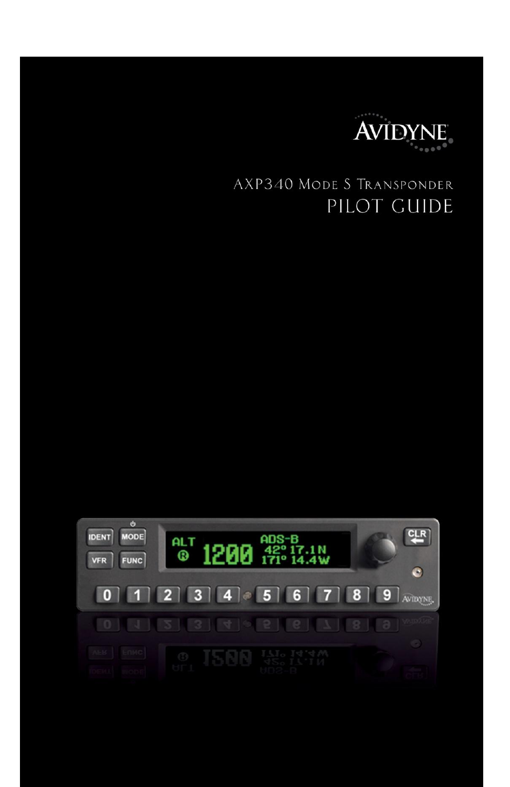

# AXP340 MODE S TRANSPONDER PILOT GUIDE

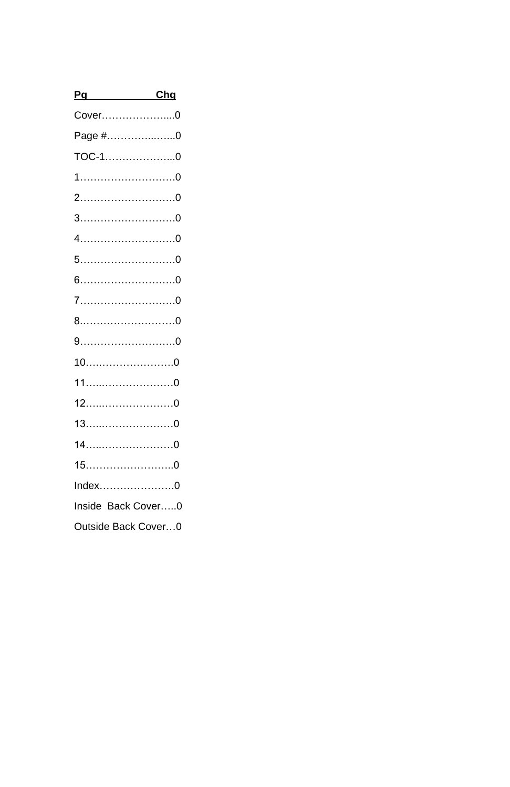| Pg                  | Chg |
|---------------------|-----|
| Cover0              |     |
| Page #0             |     |
| TOC-10              |     |
|                     |     |
|                     |     |
| $3$ 0               |     |
|                     |     |
|                     |     |
|                     |     |
|                     |     |
|                     |     |
|                     |     |
|                     |     |
|                     |     |
|                     |     |
|                     |     |
|                     |     |
|                     |     |
| $Index$ 0           |     |
| Inside Back Cover0  |     |
| Outside Back Cover0 |     |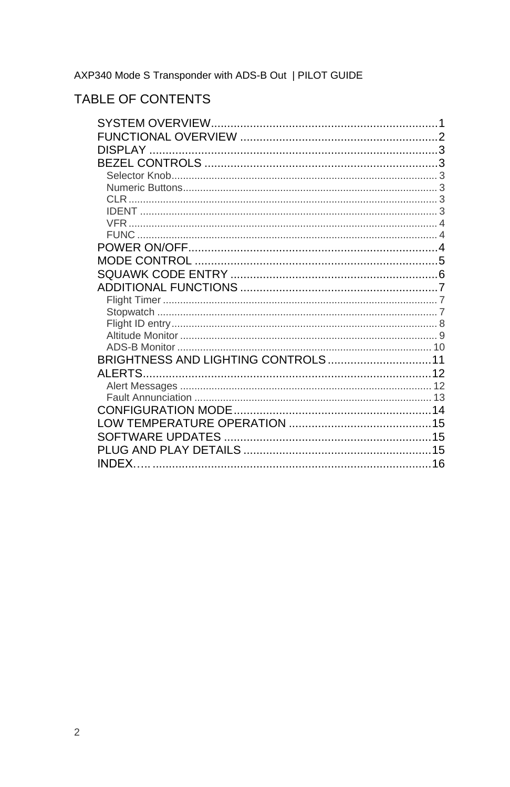AXP340 Mode S Transponder with ADS-B Out | PILOT GUIDE

## TABLE OF CONTENTS

| BRIGHTNESS AND LIGHTING CONTROLS 11 |  |
|-------------------------------------|--|
|                                     |  |
|                                     |  |
|                                     |  |
|                                     |  |
|                                     |  |
|                                     |  |
|                                     |  |
|                                     |  |
|                                     |  |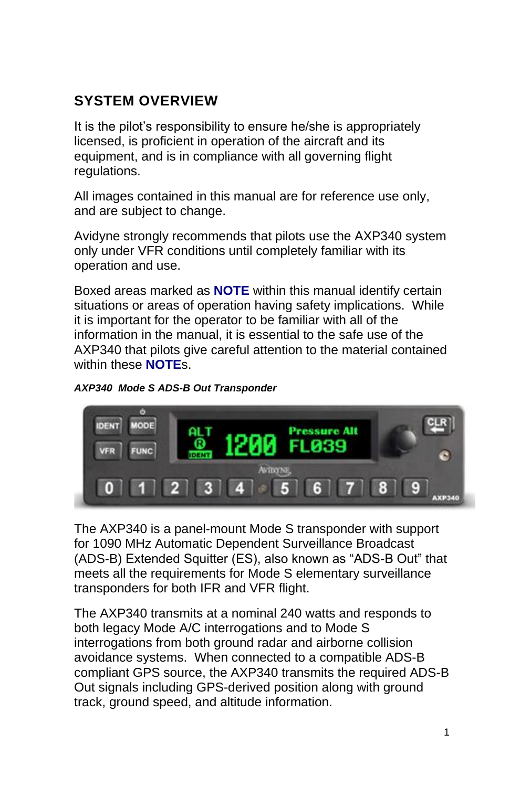# **SYSTEM OVERVIEW**

It is the pilot's responsibility to ensure he/she is appropriately licensed, is proficient in operation of the aircraft and its equipment, and is in compliance with all governing flight regulations.

All images contained in this manual are for reference use only, and are subject to change.

Avidyne strongly recommends that pilots use the AXP340 system only under VFR conditions until completely familiar with its operation and use.

Boxed areas marked as **NOTE** within this manual identify certain situations or areas of operation having safety implications. While it is important for the operator to be familiar with all of the information in the manual, it is essential to the safe use of the AXP340 that pilots give careful attention to the material contained within these **NOTE**s.





The AXP340 is a panel-mount Mode S transponder with support for 1090 MHz Automatic Dependent Surveillance Broadcast (ADS-B) Extended Squitter (ES), also known as "ADS-B Out" that meets all the requirements for Mode S elementary surveillance transponders for both IFR and VFR flight.

The AXP340 transmits at a nominal 240 watts and responds to both legacy Mode A/C interrogations and to Mode S interrogations from both ground radar and airborne collision avoidance systems. When connected to a compatible ADS-B compliant GPS source, the AXP340 transmits the required ADS-B Out signals including GPS-derived position along with ground track, ground speed, and altitude information.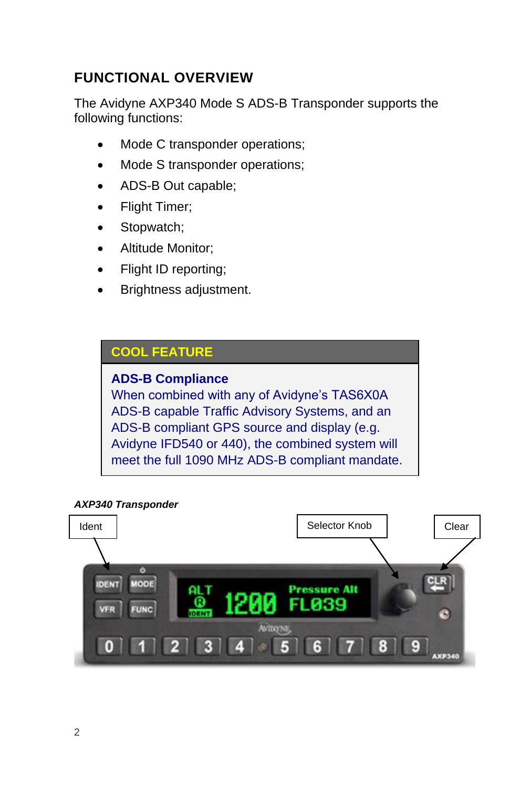# **FUNCTIONAL OVERVIEW**

The Avidyne AXP340 Mode S ADS-B Transponder supports the following functions:

- Mode C transponder operations;
- Mode S transponder operations;
- ADS-B Out capable;
- Flight Timer;
- Stopwatch;
- Altitude Monitor;
- Flight ID reporting;
- Brightness adjustment.

## **COOL FEATURE**

### **ADS-B Compliance**

When combined with any of Avidyne's TAS6X0A ADS-B capable Traffic Advisory Systems, and an ADS-B compliant GPS source and display (e.g. Avidyne IFD540 or 440), the combined system will meet the full 1090 MHz ADS-B compliant mandate.

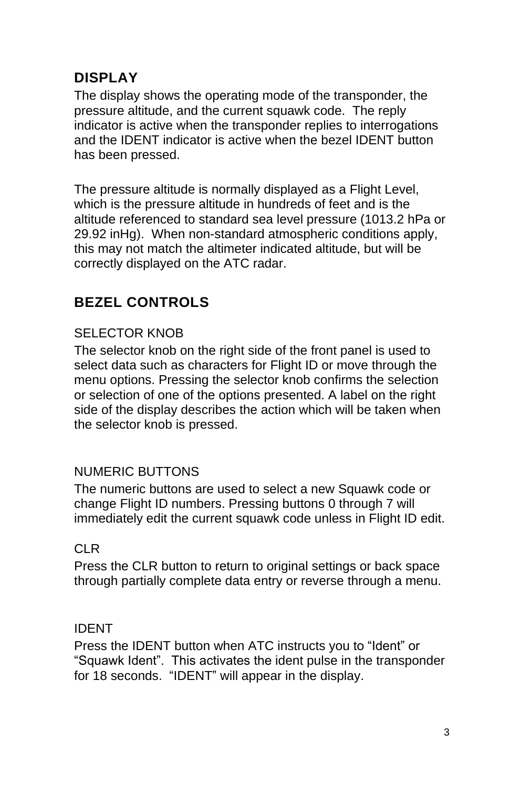# **DISPLAY**

The display shows the operating mode of the transponder, the pressure altitude, and the current squawk code. The reply indicator is active when the transponder replies to interrogations and the IDENT indicator is active when the bezel IDENT button has been pressed.

The pressure altitude is normally displayed as a Flight Level, which is the pressure altitude in hundreds of feet and is the altitude referenced to standard sea level pressure (1013.2 hPa or 29.92 inHg). When non-standard atmospheric conditions apply, this may not match the altimeter indicated altitude, but will be correctly displayed on the ATC radar.

# **BEZEL CONTROLS**

## SELECTOR KNOB

The selector knob on the right side of the front panel is used to select data such as characters for Flight ID or move through the menu options. Pressing the selector knob confirms the selection or selection of one of the options presented. A label on the right side of the display describes the action which will be taken when the selector knob is pressed.

## NUMERIC BUTTONS

The numeric buttons are used to select a new Squawk code or change Flight ID numbers. Pressing buttons 0 through 7 will immediately edit the current squawk code unless in Flight ID edit.

### CLR

Press the CLR button to return to original settings or back space through partially complete data entry or reverse through a menu.

### IDENT

Press the IDENT button when ATC instructs you to "Ident" or "Squawk Ident". This activates the ident pulse in the transponder for 18 seconds. "IDENT" will appear in the display.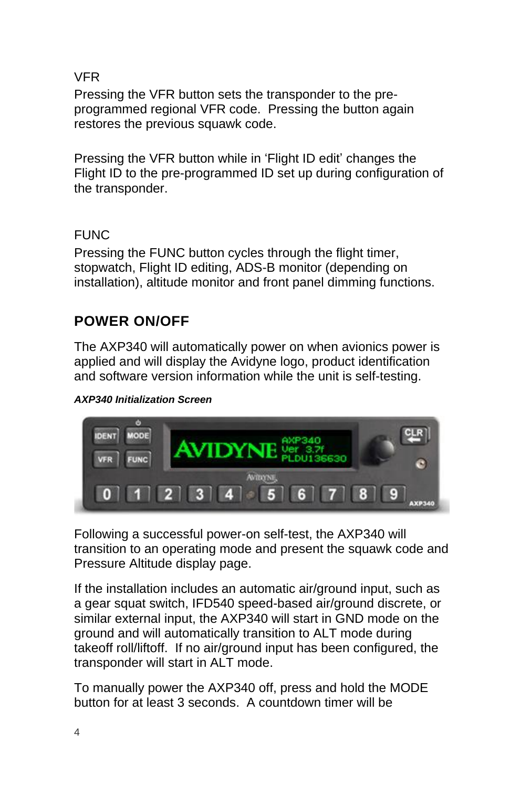VFR

Pressing the VFR button sets the transponder to the preprogrammed regional VFR code. Pressing the button again restores the previous squawk code.

Pressing the VFR button while in 'Flight ID edit' changes the Flight ID to the pre-programmed ID set up during configuration of the transponder.

## FUNC

Pressing the FUNC button cycles through the flight timer, stopwatch, Flight ID editing, ADS-B monitor (depending on installation), altitude monitor and front panel dimming functions.

# **POWER ON/OFF**

The AXP340 will automatically power on when avionics power is applied and will display the Avidyne logo, product identification and software version information while the unit is self-testing.

#### *AXP340 Initialization Screen*



Following a successful power-on self-test, the AXP340 will transition to an operating mode and present the squawk code and Pressure Altitude display page.

If the installation includes an automatic air/ground input, such as a gear squat switch, IFD540 speed-based air/ground discrete, or similar external input, the AXP340 will start in GND mode on the ground and will automatically transition to ALT mode during takeoff roll/liftoff. If no air/ground input has been configured, the transponder will start in ALT mode.

To manually power the AXP340 off, press and hold the MODE button for at least 3 seconds. A countdown timer will be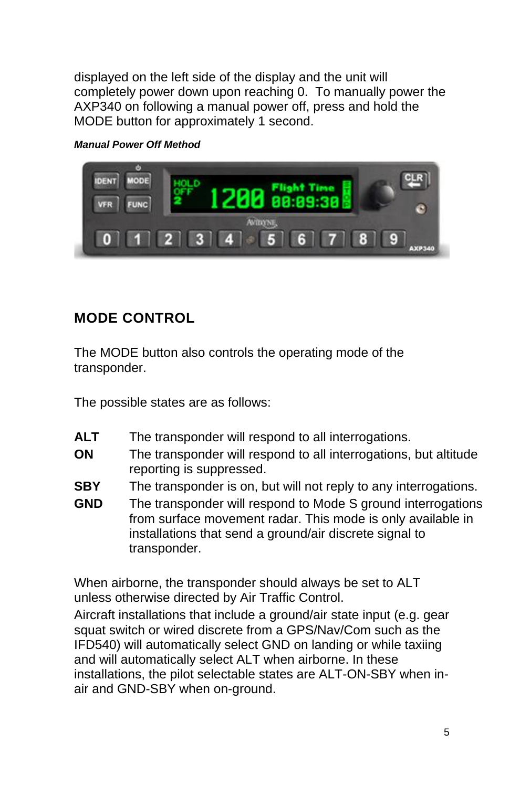displayed on the left side of the display and the unit will completely power down upon reaching 0. To manually power the AXP340 on following a manual power off, press and hold the MODE button for approximately 1 second.

*Manual Power Off Method*



# **MODE CONTROL**

The MODE button also controls the operating mode of the transponder.

The possible states are as follows:

- ALT The transponder will respond to all interrogations.
- **ON** The transponder will respond to all interrogations, but altitude reporting is suppressed.
- **SBY** The transponder is on, but will not reply to any interrogations.
- **GND** The transponder will respond to Mode S ground interrogations from surface movement radar. This mode is only available in installations that send a ground/air discrete signal to transponder.

When airborne, the transponder should always be set to ALT unless otherwise directed by Air Traffic Control.

Aircraft installations that include a ground/air state input (e.g. gear squat switch or wired discrete from a GPS/Nav/Com such as the IFD540) will automatically select GND on landing or while taxiing and will automatically select ALT when airborne. In these installations, the pilot selectable states are ALT-ON-SBY when inair and GND-SBY when on-ground.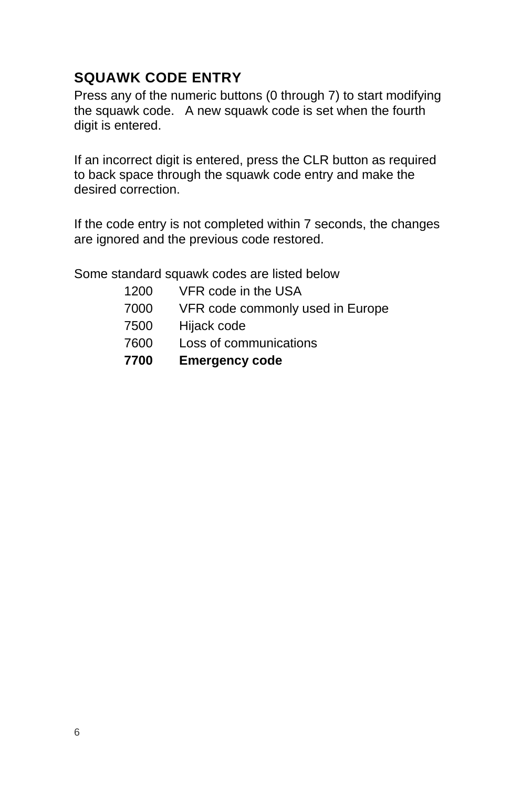# **SQUAWK CODE ENTRY**

Press any of the numeric buttons (0 through 7) to start modifying the squawk code. A new squawk code is set when the fourth digit is entered.

If an incorrect digit is entered, press the CLR button as required to back space through the squawk code entry and make the desired correction.

If the code entry is not completed within 7 seconds, the changes are ignored and the previous code restored.

Some standard squawk codes are listed below

- 1200 VFR code in the USA
- 7000 VFR code commonly used in Europe
- 7500 Hijack code
- 7600 Loss of communications
- **7700 Emergency code**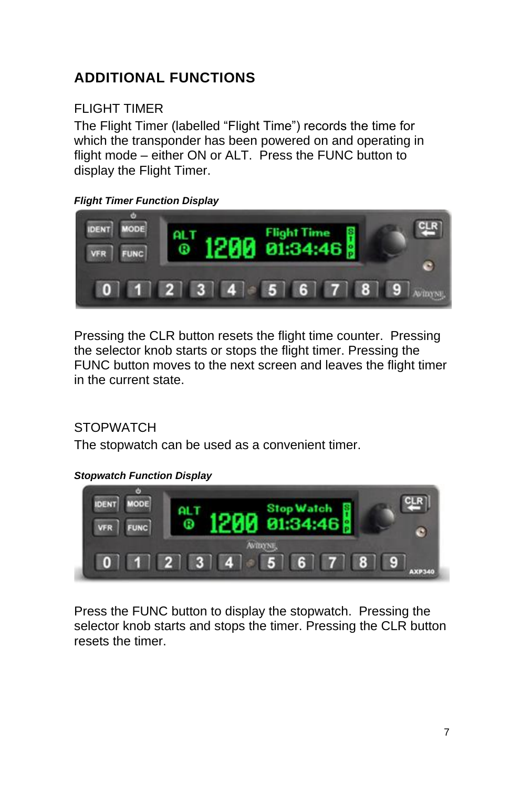# **ADDITIONAL FUNCTIONS**

## FLIGHT TIMER

The Flight Timer (labelled "Flight Time") records the time for which the transponder has been powered on and operating in flight mode – either ON or ALT. Press the FUNC button to display the Flight Timer.

#### *Flight Timer Function Display*



Pressing the CLR button resets the flight time counter. Pressing the selector knob starts or stops the flight timer. Pressing the FUNC button moves to the next screen and leaves the flight timer in the current state.

## **STOPWATCH**

The stopwatch can be used as a convenient timer.

#### *Stopwatch Function Display*



Press the FUNC button to display the stopwatch. Pressing the selector knob starts and stops the timer. Pressing the CLR button resets the timer.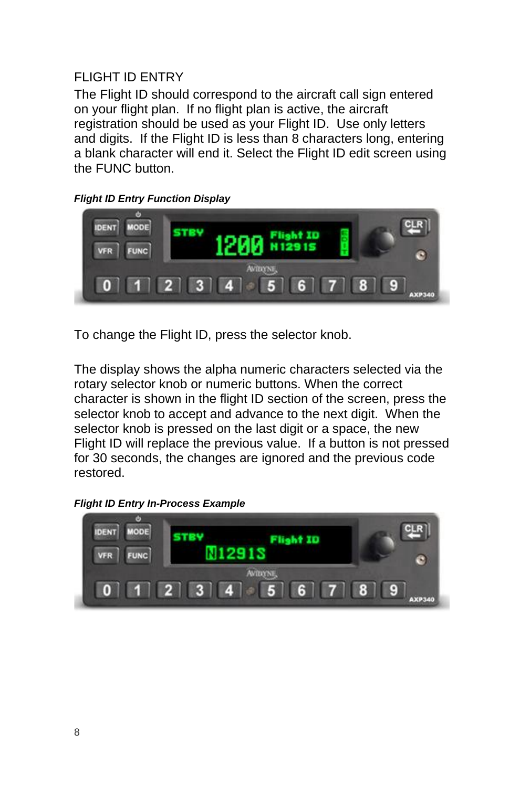## FLIGHT ID ENTRY

The Flight ID should correspond to the aircraft call sign entered on your flight plan. If no flight plan is active, the aircraft registration should be used as your Flight ID. Use only letters and digits. If the Flight ID is less than 8 characters long, entering a blank character will end it. Select the Flight ID edit screen using the FUNC button.

*Flight ID Entry Function Display*



To change the Flight ID, press the selector knob.

The display shows the alpha numeric characters selected via the rotary selector knob or numeric buttons. When the correct character is shown in the flight ID section of the screen, press the selector knob to accept and advance to the next digit. When the selector knob is pressed on the last digit or a space, the new Flight ID will replace the previous value. If a button is not pressed for 30 seconds, the changes are ignored and the previous code restored.

#### *Flight ID Entry In-Process Example*

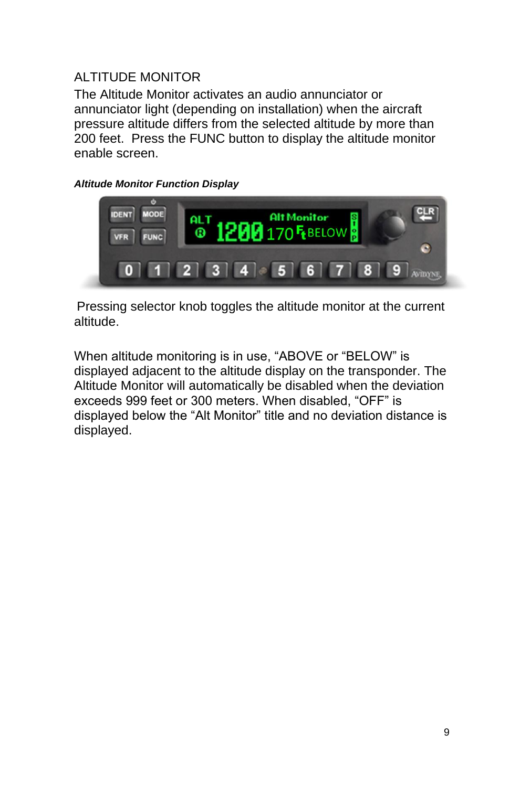## ALTITUDE MONITOR

The Altitude Monitor activates an audio annunciator or annunciator light (depending on installation) when the aircraft pressure altitude differs from the selected altitude by more than 200 feet. Press the FUNC button to display the altitude monitor enable screen.

#### *Altitude Monitor Function Display*



Pressing selector knob toggles the altitude monitor at the current altitude.

When altitude monitoring is in use, "ABOVE or "BELOW" is displayed adjacent to the altitude display on the transponder. The Altitude Monitor will automatically be disabled when the deviation exceeds 999 feet or 300 meters. When disabled, "OFF" is displayed below the "Alt Monitor" title and no deviation distance is displayed.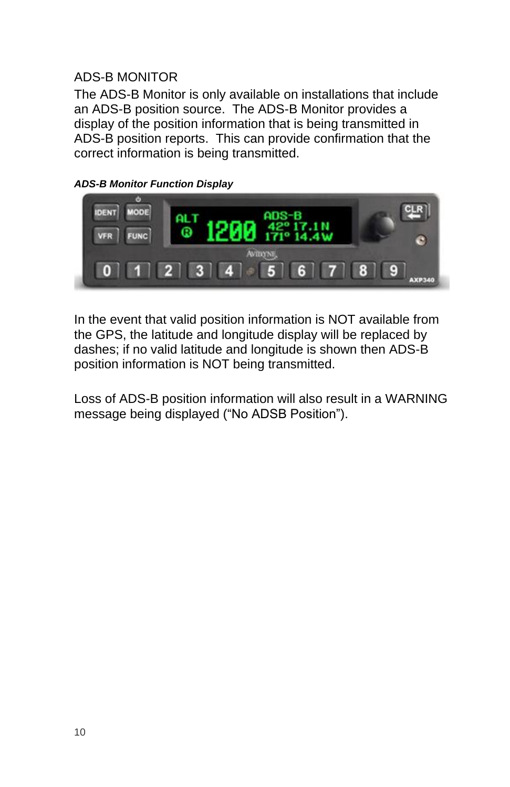### ADS-B MONITOR

The ADS-B Monitor is only available on installations that include an ADS-B position source. The ADS-B Monitor provides a display of the position information that is being transmitted in ADS-B position reports. This can provide confirmation that the correct information is being transmitted.

#### *ADS-B Monitor Function Display*

![](_page_13_Picture_3.jpeg)

In the event that valid position information is NOT available from the GPS, the latitude and longitude display will be replaced by dashes; if no valid latitude and longitude is shown then ADS-B position information is NOT being transmitted.

Loss of ADS-B position information will also result in a WARNING message being displayed ("No ADSB Position").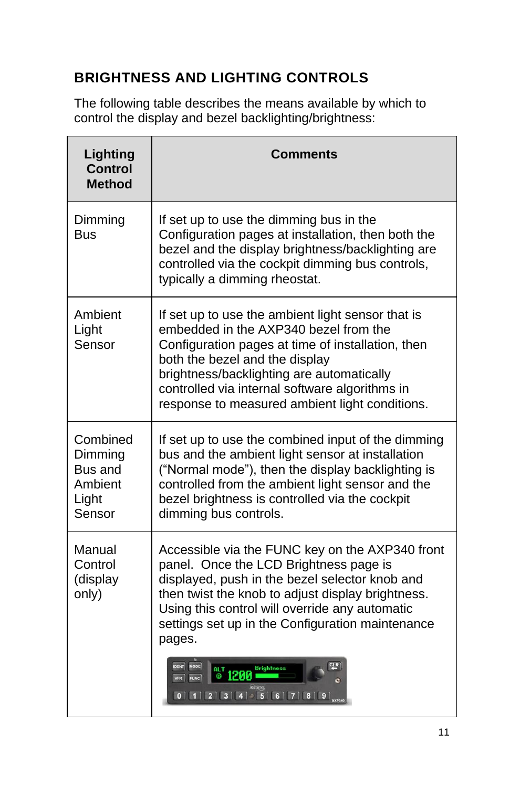# **BRIGHTNESS AND LIGHTING CONTROLS**

The following table describes the means available by which to control the display and bezel backlighting/brightness:

| Lighting<br><b>Control</b><br><b>Method</b>                  | <b>Comments</b>                                                                                                                                                                                                                                                                                                                    |
|--------------------------------------------------------------|------------------------------------------------------------------------------------------------------------------------------------------------------------------------------------------------------------------------------------------------------------------------------------------------------------------------------------|
| Dimming<br>Bus                                               | If set up to use the dimming bus in the<br>Configuration pages at installation, then both the<br>bezel and the display brightness/backlighting are<br>controlled via the cockpit dimming bus controls,<br>typically a dimming rheostat.                                                                                            |
| Ambient<br>Light<br>Sensor                                   | If set up to use the ambient light sensor that is<br>embedded in the AXP340 bezel from the<br>Configuration pages at time of installation, then<br>both the bezel and the display<br>brightness/backlighting are automatically<br>controlled via internal software algorithms in<br>response to measured ambient light conditions. |
| Combined<br>Dimming<br>Bus and<br>Ambient<br>Light<br>Sensor | If set up to use the combined input of the dimming<br>bus and the ambient light sensor at installation<br>("Normal mode"), then the display backlighting is<br>controlled from the ambient light sensor and the<br>bezel brightness is controlled via the cockpit<br>dimming bus controls.                                         |
| Manual<br>Control<br>(display<br>only)                       | Accessible via the FUNC key on the AXP340 front<br>panel. Once the LCD Brightness page is<br>displayed, push in the bezel selector knob and<br>then twist the knob to adjust display brightness.<br>Using this control will override any automatic<br>settings set up in the Configuration maintenance<br>pages.                   |
|                                                              | <b>Brightness</b><br><b>@1200</b><br>$0$ 1 2 3 4 5 6 7 8 9                                                                                                                                                                                                                                                                         |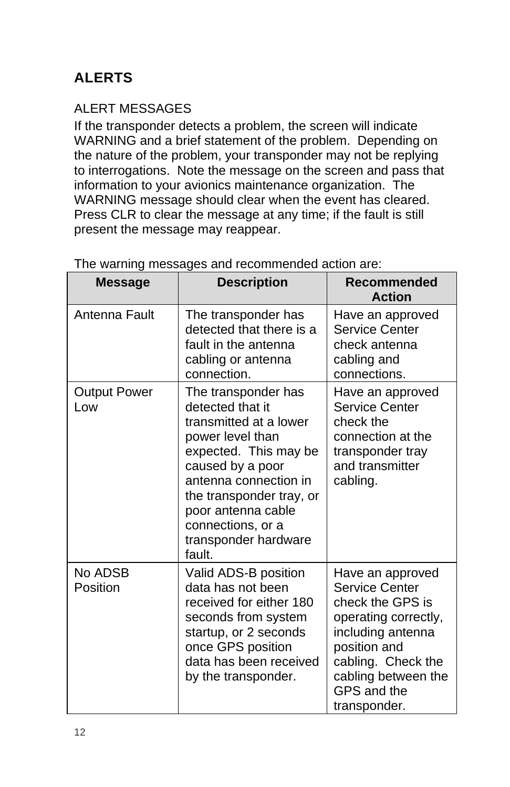# **ALERTS**

## ALERT MESSAGES

If the transponder detects a problem, the screen will indicate WARNING and a brief statement of the problem. Depending on the nature of the problem, your transponder may not be replying to interrogations. Note the message on the screen and pass that information to your avionics maintenance organization. The WARNING message should clear when the event has cleared. Press CLR to clear the message at any time; if the fault is still present the message may reappear.

| <b>Message</b>             | <b>Description</b>                                                                                                                                                                                                                                                   | Recommended<br><b>Action</b>                                                                                                                                                                    |
|----------------------------|----------------------------------------------------------------------------------------------------------------------------------------------------------------------------------------------------------------------------------------------------------------------|-------------------------------------------------------------------------------------------------------------------------------------------------------------------------------------------------|
| Antenna Fault              | The transponder has<br>detected that there is a<br>fault in the antenna<br>cabling or antenna<br>connection.                                                                                                                                                         | Have an approved<br><b>Service Center</b><br>check antenna<br>cabling and<br>connections.                                                                                                       |
| <b>Output Power</b><br>Low | The transponder has<br>detected that it<br>transmitted at a lower<br>power level than<br>expected. This may be<br>caused by a poor<br>antenna connection in<br>the transponder tray, or<br>poor antenna cable<br>connections, or a<br>transponder hardware<br>fault. | Have an approved<br><b>Service Center</b><br>check the<br>connection at the<br>transponder tray<br>and transmitter<br>cabling.                                                                  |
| No ADSB<br>Position        | Valid ADS-B position<br>data has not been<br>received for either 180<br>seconds from system<br>startup, or 2 seconds<br>once GPS position<br>data has been received<br>by the transponder.                                                                           | Have an approved<br>Service Center<br>check the GPS is<br>operating correctly,<br>including antenna<br>position and<br>cabling. Check the<br>cabling between the<br>GPS and the<br>transponder. |

The warning messages and recommended action are: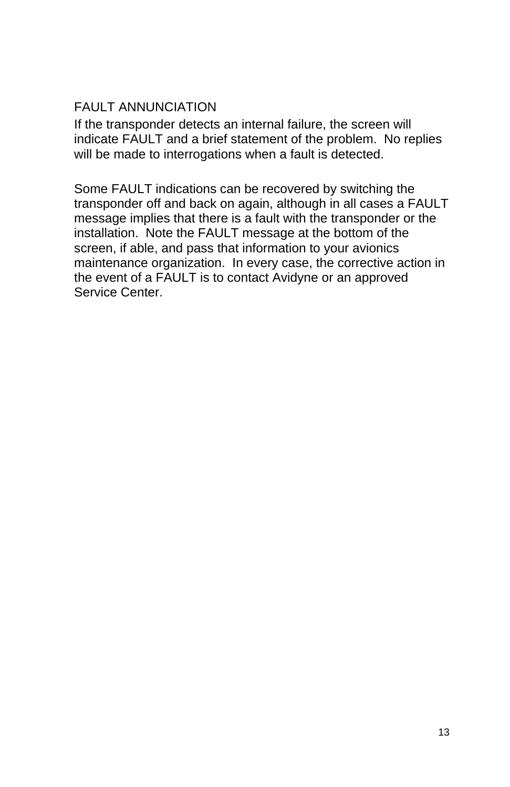## FAULT ANNUNCIATION

If the transponder detects an internal failure, the screen will indicate FAULT and a brief statement of the problem. No replies will be made to interrogations when a fault is detected.

Some FAULT indications can be recovered by switching the transponder off and back on again, although in all cases a FAULT message implies that there is a fault with the transponder or the installation. Note the FAULT message at the bottom of the screen, if able, and pass that information to your avionics maintenance organization. In every case, the corrective action in the event of a FAULT is to contact Avidyne or an approved Service Center.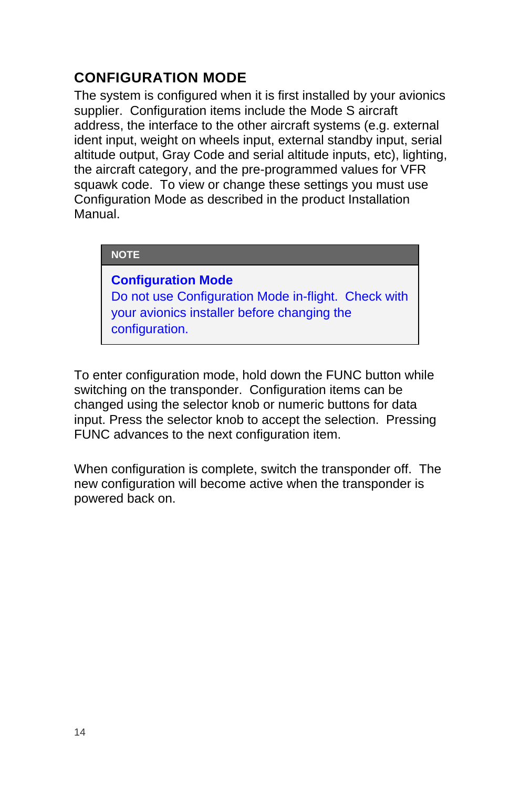# **CONFIGURATION MODE**

The system is configured when it is first installed by your avionics supplier. Configuration items include the Mode S aircraft address, the interface to the other aircraft systems (e.g. external ident input, weight on wheels input, external standby input, serial altitude output, Gray Code and serial altitude inputs, etc), lighting, the aircraft category, and the pre-programmed values for VFR squawk code. To view or change these settings you must use Configuration Mode as described in the product Installation Manual.

#### **NOTE**

**Configuration Mode**  Do not use Configuration Mode in-flight. Check with your avionics installer before changing the configuration.

To enter configuration mode, hold down the FUNC button while switching on the transponder. Configuration items can be changed using the selector knob or numeric buttons for data input. Press the selector knob to accept the selection. Pressing FUNC advances to the next configuration item.

When configuration is complete, switch the transponder off. The new configuration will become active when the transponder is powered back on.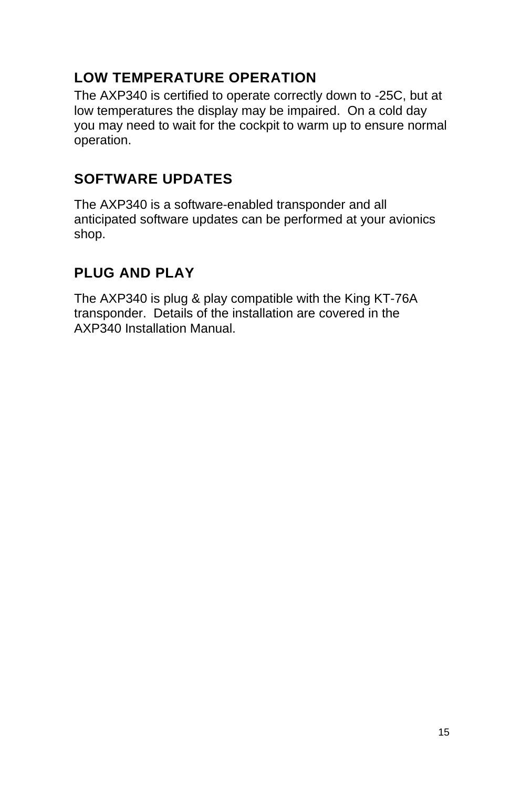# **LOW TEMPERATURE OPERATION**

The AXP340 is certified to operate correctly down to -25C, but at low temperatures the display may be impaired. On a cold day you may need to wait for the cockpit to warm up to ensure normal operation.

# **SOFTWARE UPDATES**

The AXP340 is a software-enabled transponder and all anticipated software updates can be performed at your avionics shop.

# **PLUG AND PLAY**

The AXP340 is plug & play compatible with the King KT-76A transponder. Details of the installation are covered in the AXP340 Installation Manual.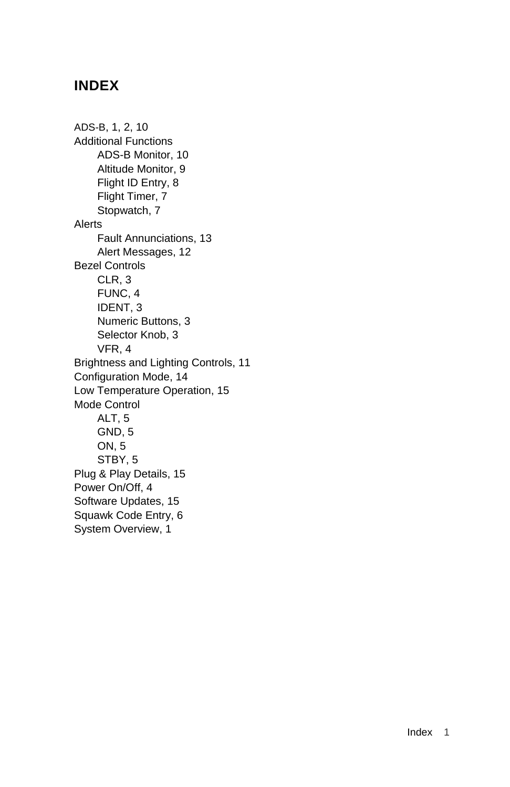## **INDEX**

ADS-B, 1, 2, 10 Additional Functions ADS-B Monitor, 10 Altitude Monitor, 9 Flight ID Entry, 8 Flight Timer, 7 Stopwatch, 7 Alerts Fault Annunciations, 13 Alert Messages, 12 Bezel Controls CLR, 3 FUNC, 4 IDENT, 3 Numeric Buttons, 3 Selector Knob, 3 VFR, 4 Brightness and Lighting Controls, 11 Configuration Mode, 14 Low Temperature Operation, 15 Mode Control ALT, 5 GND, 5 ON, 5 STBY, 5 Plug & Play Details, 15 Power On/Off, 4 Software Updates, 15 Squawk Code Entry, 6 System Overview, 1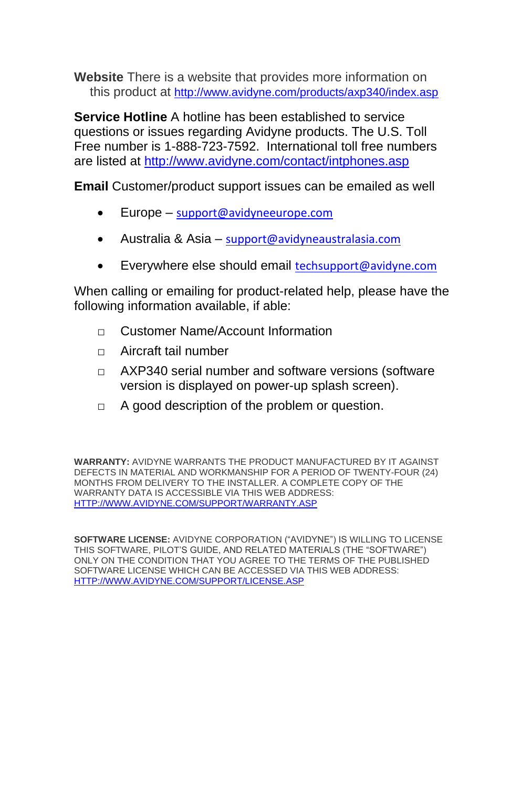**Website** There is a website that provides more information on this product at <http://www.avidyne.com/products/axp340/index.asp>

**Service Hotline** A hotline has been established to service questions or issues regarding Avidyne products. The U.S. Toll Free number is 1-888-723-7592. International toll free numbers are listed at<http://www.avidyne.com/contact/intphones.asp>

**Email** Customer/product support issues can be emailed as well

- Europe [support@avidyneeurope.com](mailto:support@avidyneeurope.com)
- Australia & Asia [support@avidyneaustralasia.com](mailto:support@avidyneaustralasia.com)
- Everywhere else should email [techsupport@avidyne.com](mailto:techsupport@avidyne.com)

When calling or emailing for product-related help, please have the following information available, if able:

- □ Customer Name/Account Information
- □ Aircraft tail number
- $\neg$  AXP340 serial number and software versions (software version is displayed on power-up splash screen).
- □ A good description of the problem or question.

**WARRANTY:** AVIDYNE WARRANTS THE PRODUCT MANUFACTURED BY IT AGAINST DEFECTS IN MATERIAL AND WORKMANSHIP FOR A PERIOD OF TWENTY-FOUR (24) MONTHS FROM DELIVERY TO THE INSTALLER. A COMPLETE COPY OF THE WARRANTY DATA IS ACCESSIBLE VIA THIS WEB ADDRESS: [HTTP://WWW.AVIDYNE.COM/SUPPORT/WARRANTY.ASP](http://www.avidyne.com/support/warranty.asp)

**SOFTWARE LICENSE:** AVIDYNE CORPORATION ("AVIDYNE") IS WILLING TO LICENSE THIS SOFTWARE, PILOT'S GUIDE, AND RELATED MATERIALS (THE "SOFTWARE") ONLY ON THE CONDITION THAT YOU AGREE TO THE TERMS OF THE PUBLISHED SOFTWARE LICENSE WHICH CAN BE ACCESSED VIA THIS WEB ADDRESS: [HTTP://WWW.AVIDYNE.COM/SUPPORT/LICENSE.ASP](http://www.avidyne.com/support/license.asp)